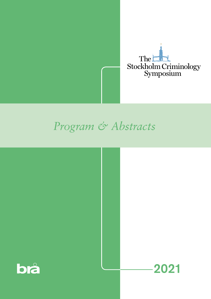

## *Program & Abstracts*

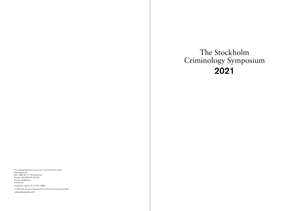The Swedish National Council for Crime Prevention (Brå) Tegnérgatan 23 Box 1386, SE-111 93 Stockholm Phone: +46 (0)8 527 58 400 E-mail: info@bra.se www.bra.se Production: Odelius & CO #21-6866 © 2021The Swedish National Council for Crime Prevention (Brå) URN:NBN:SE:BRA-976

# The Stockholm Criminology Symposium 2021